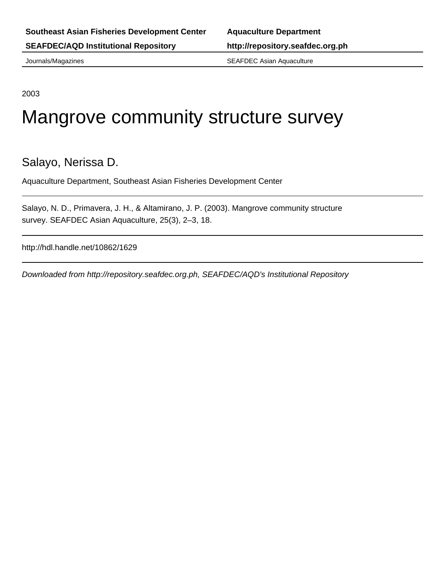Journals/Magazines SEAFDEC Asian Aquaculture

2003

# Mangrove community structure survey

# Salayo, Nerissa D.

Aquaculture Department, Southeast Asian Fisheries Development Center

Salayo, N. D., Primavera, J. H., & Altamirano, J. P. (2003). Mangrove community structure survey. SEAFDEC Asian Aquaculture, 25(3), 2–3, 18.

http://hdl.handle.net/10862/1629

Downloaded from http://repository.seafdec.org.ph, SEAFDEC/AQD's Institutional Repository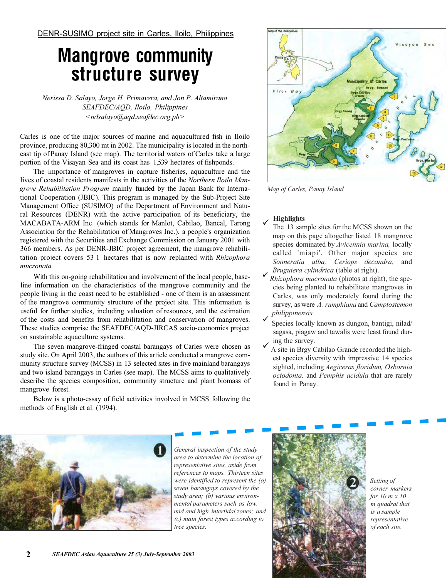DENR-SUSIMO project site in Carles, Iloilo, Philippines

# **Mangrove community**

**structure survey**  *Nerissa D. Salayo, Jorge H. Primavera, and Jon P. Altamirano SEAFDEC/AQD, Iloilo, Philippines <ndsalayo@aqd.seafdec.org.ph>*

Carles is one of the major sources of marine and aquacultured fish in Iloilo province, producing 80,300 mt in 2002. The municipality is located in the northeast tip of Panay Island (see map). The territorial waters of Carles take a large portion of the Visayan Sea and its coast has 1,539 hectares of fishponds.

The importance of mangroves in capture fisheries, aquaculture and the lives of coastal residents manifests in the activities of the *Northern Iloilo Mangrove Rehabilitation Program* mainly funded by the Japan Bank for International Cooperation (JBIC). This program is managed by the Sub-Project Site Management Office (SUSIMO) of the Department of Environment and Natural Resources (DENR) with the active participation of its beneficiary, the MACABATA-ARM Inc. (which stands for Manlot, Cabilao, Bancal, Tarong Association for the Rehabilitation of Mangroves Inc.), a people's organization registered with the Securities and Exchange Commission on January 2001 with 366 members. As per DENR-JBIC project agreement, the mangrove rehabilitation project covers 53 1 hectares that is now replanted with *Rhizophora mucronata.*

With this on-going rehabilitation and involvement of the local people, baseline information on the characteristics of the mangrove community and the people living in the coast need to be established - one of them is an assessment of the mangrove community structure of the project site. This information is useful for further studies, including valuation of resources, and the estimation of the costs and benefits from rehabilitation and conservation of mangroves. These studies comprise the SEAFDEC/AQD-JIRCAS socio-economics project on sustainable aquaculture systems.

The seven mangrove-fringed coastal barangays of Carles were chosen as study site. On April 2003, the authors of this article conducted a mangrove community structure survey (MCSS) in 13 selected sites in five mainland barangays and two island barangays in Carles (see map). The MCSS aims to qualitatively describe the species composition, community structure and plant biomass of mangrove forest.

Below is a photo-essay of field activities involved in MCSS following the



*Map of Carles, Panay Island* 

#### $\checkmark$ **Highlights**

- The 13 sample sites for the MCSS shown on the map on this page altogether listed 18 mangrove species dominated by *Avicennia marina,* locally called 'miapi'. Other major species are *Sonneratia alba, Ceriops decandra,* and *Bruguiera cylindrica* (table at right).
- $\checkmark$ *Rhizophora mucronata* (photos at right), the species being planted to rehabilitate mangroves in Carles, was only moderately found during the survey, as were *A. rumphiana* and *Camptostemon philippinensis.*
- $\checkmark$  $\checkmark$ Species locally known as dungon, bantigi, nilad/ sagasa, piagaw and tawalis were least found during the survey.
- A site in Brgy Cabilao Grande recorded the highest species diversity with impressive 14 species sighted, including *Aegiceras floridum, Osbornia octodonta,* and *Pemphis acidula* that are rarely found in Panay.



methods of English et al. (1994).

*General inspection of the study area to determine the location of representative sites, aside from references to maps. Thirteen sites were identified to represent the (a) seven barangays covered by the study area; (b) various environmental parameters such as low, mid and high intertidal zones; and (c) main forest types according to tree species.* 



*Setting of corner markers for 10 m x 10 m quadrat that is a sample representative of each site.*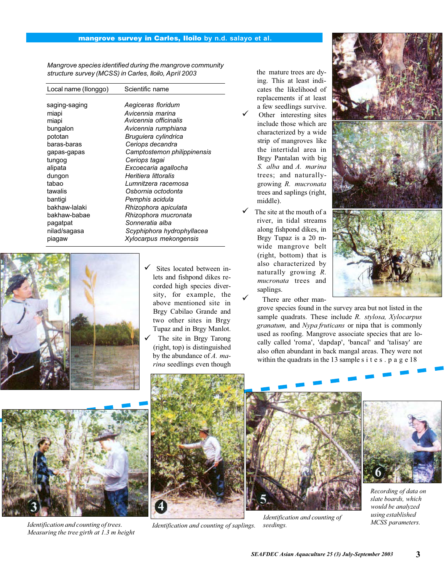## **mangrove survey in Carles, Iloilo by n.d. salayo et al.**

*Mangrove species identified during the mangrove community structure survey (MCSS) in Carles, Iloilo, April 2003*

| Local name (llonggo)                                                                                                                                                                                            | Scientific name                                                                                                                                                                                                                                                                                                                                                                                     |
|-----------------------------------------------------------------------------------------------------------------------------------------------------------------------------------------------------------------|-----------------------------------------------------------------------------------------------------------------------------------------------------------------------------------------------------------------------------------------------------------------------------------------------------------------------------------------------------------------------------------------------------|
| saging-saging<br>miapi<br>miapi<br>bungalon<br>pototan<br>baras-baras<br>gapas-gapas<br>tungog<br>alipata<br>dungon<br>tabao<br>tawalis<br>bantigi<br>bakhaw-lalaki<br>bakhaw-babae<br>pagatpat<br>nilad/sagasa | Aegiceras floridum<br>Avicennia marina<br>Avicennia officinalis<br>Avicennia rumphiana<br>Bruguiera cylindrica<br>Ceriops decandra<br>Camptostemon philippinensis<br>Ceriops tagai<br>Excoecaria agallocha<br>Heritiera littoralis<br>Lumnitzera racemosa<br>Osbornia octodonta<br>Pemphis acidula<br>Rhizophora apiculata<br>Rhizophora mucronata<br>Sonneratia alba<br>Scyphiphora hydrophyllacea |
| piagaw                                                                                                                                                                                                          | Xylocarpus mekongensis                                                                                                                                                                                                                                                                                                                                                                              |



- Sites located between inlets and fishpond dikes recorded high species diversity, for example, the above mentioned site in Brgy Cabilao Grande and two other sites in Brgy Tupaz and in Brgy Manlot.
- The site in Brgy Tarong (right, top) is distinguished by the abundance of *A. marina* seedlings even though

the mature trees are dying. This at least indicates the likelihood of replacements if at least a few seedlings survive.

- Other interesting sites include those which are characterized by a wide strip of mangroves like the intertidal area in Brgy Pantalan with big *S. alba* and *A. marina*  trees; and naturallygrowing *R. mucronata*  trees and saplings (right, middle).  $\checkmark$
- The site at the mouth of a river, in tidal streams along fishpond dikes, in Brgy Tupaz is a 20 mwide mangrove belt (right, bottom) that is also characterized by naturally growing *R. mucronata* trees and saplings.  $\checkmark$  $\checkmark$

There are other man-

grove species found in the survey area but not listed in the sample quadrats. These include *R. stylosa, Xylocarpus granatum,* and *Nypa fruticans* or nipa that is commonly used as roofing. Mangrove associate species that are locally called 'roma', 'dapdap', 'bancal' and 'talisay' are also often abundant in back mangal areas. They were not within the quadrats in the 13 sample s i t e s  $. p a g e 18$ 



*Identification and counting of trees. Measuring the tree girth at 1.3 m height* 



*Identification and counting of saplings.* 



*Identification and counting of seedings.* 



*Recording of data on slate boards, which would be analyzed using established MCSS parameters.*